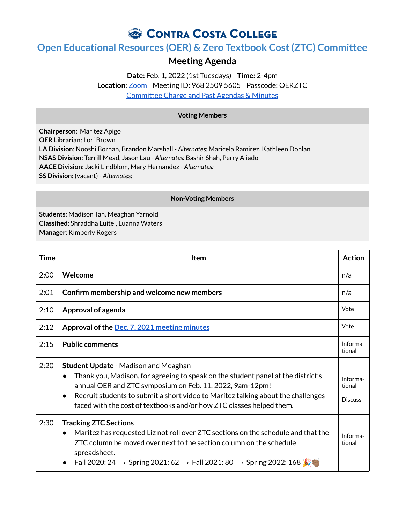CONTRA COSTA COLLEGE

## **Open Educational Resources (OER) & Zero Textbook Cost(ZTC) Committee**

## **Meeting Agenda**

**Date:** Feb. 1, 2022 (1st Tuesdays) **Time:** 2-4pm **Location**: [Zoom](https://4cd.zoom.us/j/96825095605?pwd=ekxnYlZmbWpoWnNnS3JRdnFLQUxUUT09) Meeting ID: 968 2509 5605 Passcode: OERZTC [Committee](https://www.contracosta.edu/about/administration/college-committees/open-educational-resources-oer-and-zero-textbook-cost-ztc-committee/) Charge and Past Agendas & Minutes

## **Voting Members**

**Chairperson**: Maritez Apigo **OER Librarian**: Lori Brown **LA Division**: Nooshi Borhan, Brandon Marshall - *Alternates:* Maricela Ramirez, Kathleen Donlan **NSAS Division**: Terrill Mead, Jason Lau - *Alternates:* Bashir Shah, Perry Aliado **AACE Division**: Jacki Lindblom, Mary Hernandez - *Alternates:* **SS Division**: (vacant) - *Alternates:*

## **Non-Voting Members**

**Students**: Madison Tan, Meaghan Yarnold **Classified**: Shraddha Luitel, Luanna Waters **Manager**: Kimberly Rogers

| <b>Time</b> | <b>Item</b>                                                                                                                                                                                                                                                                                                                                                                       | <b>Action</b>                        |
|-------------|-----------------------------------------------------------------------------------------------------------------------------------------------------------------------------------------------------------------------------------------------------------------------------------------------------------------------------------------------------------------------------------|--------------------------------------|
| 2:00        | Welcome                                                                                                                                                                                                                                                                                                                                                                           | n/a                                  |
| 2:01        | Confirm membership and welcome new members                                                                                                                                                                                                                                                                                                                                        | n/a                                  |
| 2:10        | Approval of agenda                                                                                                                                                                                                                                                                                                                                                                | Vote                                 |
| 2:12        | Approval of the Dec. 7, 2021 meeting minutes                                                                                                                                                                                                                                                                                                                                      | Vote                                 |
| 2:15        | <b>Public comments</b>                                                                                                                                                                                                                                                                                                                                                            | Informa-<br>tional                   |
| 2:20        | <b>Student Update - Madison and Meaghan</b><br>Thank you, Madison, for agreeing to speak on the student panel at the district's<br>$\bullet$<br>annual OER and ZTC symposium on Feb. 11, 2022, 9am-12pm!<br>Recruit students to submit a short video to Maritez talking about the challenges<br>$\bullet$<br>faced with the cost of textbooks and/or how ZTC classes helped them. | Informa-<br>tional<br><b>Discuss</b> |
| 2:30        | <b>Tracking ZTC Sections</b><br>Maritez has requested Liz not roll over ZTC sections on the schedule and that the<br>$\bullet$<br>ZTC column be moved over next to the section column on the schedule<br>spreadsheet.<br>Fall 2020: 24 $\rightarrow$ Spring 2021: 62 $\rightarrow$ Fall 2021: 80 $\rightarrow$ Spring 2022: 168                                                   | Informa-<br>tional                   |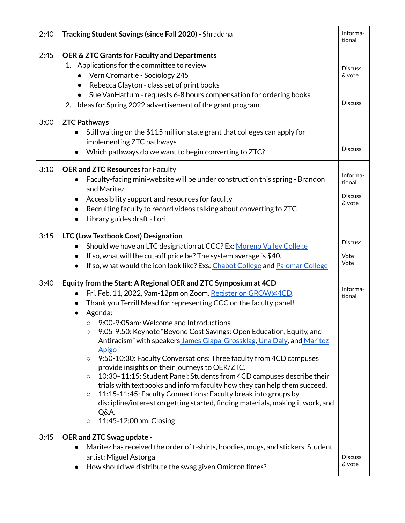| 2:40 | Tracking Student Savings (since Fall 2020) - Shraddha                                                                                                                                                                                                                                                                                                                                                                                                                                                                                                                                                                                                                                                                                                                                                                                                                                                                                                                            | Informa-<br>tional                             |
|------|----------------------------------------------------------------------------------------------------------------------------------------------------------------------------------------------------------------------------------------------------------------------------------------------------------------------------------------------------------------------------------------------------------------------------------------------------------------------------------------------------------------------------------------------------------------------------------------------------------------------------------------------------------------------------------------------------------------------------------------------------------------------------------------------------------------------------------------------------------------------------------------------------------------------------------------------------------------------------------|------------------------------------------------|
| 2:45 | OER & ZTC Grants for Faculty and Departments<br>1. Applications for the committee to review<br>Vern Cromartie - Sociology 245<br>$\bullet$<br>Rebecca Clayton - class set of print books<br>Sue VanHattum - requests 6-8 hours compensation for ordering books<br>$\bullet$<br>2. Ideas for Spring 2022 advertisement of the grant program                                                                                                                                                                                                                                                                                                                                                                                                                                                                                                                                                                                                                                       | <b>Discuss</b><br>& vote<br><b>Discuss</b>     |
| 3:00 | <b>ZTC Pathways</b><br>Still waiting on the \$115 million state grant that colleges can apply for<br>implementing ZTC pathways<br>Which pathways do we want to begin converting to ZTC?                                                                                                                                                                                                                                                                                                                                                                                                                                                                                                                                                                                                                                                                                                                                                                                          | <b>Discuss</b>                                 |
| 3:10 | <b>OER and ZTC Resources for Faculty</b><br>Faculty-facing mini-website will be under construction this spring - Brandon<br>and Maritez<br>Accessibility support and resources for faculty<br>Recruiting faculty to record videos talking about converting to ZTC<br>$\bullet$<br>Library guides draft - Lori                                                                                                                                                                                                                                                                                                                                                                                                                                                                                                                                                                                                                                                                    | Informa-<br>tional<br><b>Discuss</b><br>& vote |
| 3:15 | LTC (Low Textbook Cost) Designation<br>Should we have an LTC designation at CCC? Ex: Moreno Valley College<br>If so, what will the cut-off price be? The system average is \$40.<br>$\bullet$<br>If so, what would the icon look like? Exs: Chabot College and Palomar College<br>$\bullet$                                                                                                                                                                                                                                                                                                                                                                                                                                                                                                                                                                                                                                                                                      | <b>Discuss</b><br>Vote<br>Vote                 |
| 3:40 | Equity from the Start: A Regional OER and ZTC Symposium at 4CD<br>Fri. Feb. 11, 2022, 9am-12pm on Zoom. Register on GROW@4CD.<br>$\bullet$<br>Thank you Terrill Mead for representing CCC on the faculty panel!<br>Agenda:<br>9:00-9:05am: Welcome and Introductions<br>$\circlearrowright$<br>9:05-9:50: Keynote "Beyond Cost Savings: Open Education, Equity, and<br>$\circ$<br>Antiracism" with speakers James Glapa-Grossklag, Una Daly, and Maritez<br>Apigo<br>9:50-10:30: Faculty Conversations: Three faculty from 4CD campuses<br>$\circ$<br>provide insights on their journeys to OER/ZTC.<br>10:30-11:15: Student Panel: Students from 4CD campuses describe their<br>$\circ$<br>trials with textbooks and inform faculty how they can help them succeed.<br>11:15-11:45: Faculty Connections: Faculty break into groups by<br>$\circ$<br>discipline/interest on getting started, finding materials, making it work, and<br>Q&A.<br>11:45-12:00pm: Closing<br>$\circ$ | Informa-<br>tional                             |
| 3:45 | OER and ZTC Swag update -<br>Maritez has received the order of t-shirts, hoodies, mugs, and stickers. Student<br>artist: Miguel Astorga<br>How should we distribute the swag given Omicron times?<br>$\bullet$                                                                                                                                                                                                                                                                                                                                                                                                                                                                                                                                                                                                                                                                                                                                                                   | <b>Discuss</b><br>& vote                       |